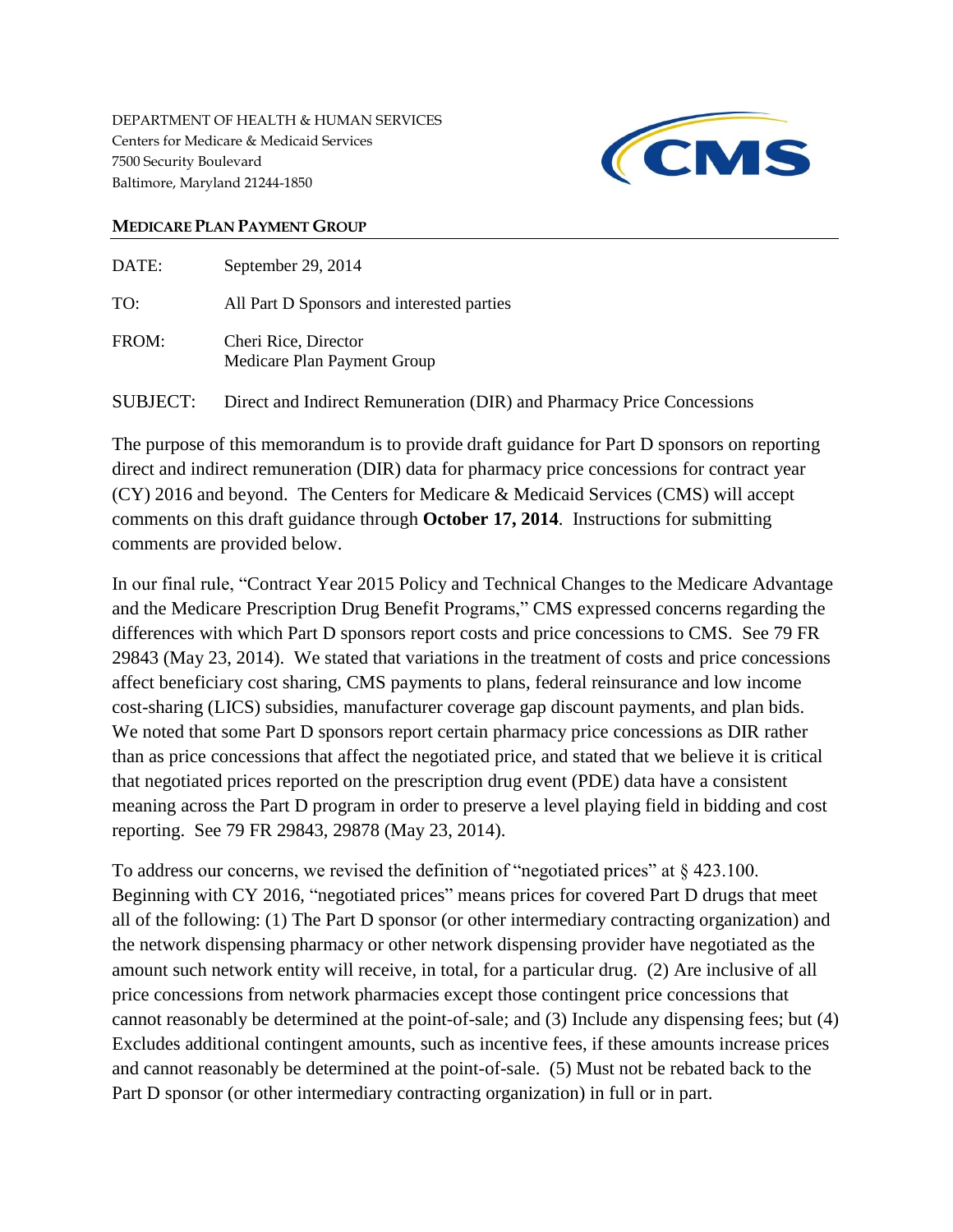DEPARTMENT OF HEALTH & HUMAN SERVICES Centers for Medicare & Medicaid Services 7500 Security Boulevard Baltimore, Maryland 21244-1850



## **MEDICARE PLAN PAYMENT GROUP**

| DATE:    | September 29, 2014                                                    |
|----------|-----------------------------------------------------------------------|
| TO:      | All Part D Sponsors and interested parties                            |
| FROM:    | Cheri Rice, Director<br>Medicare Plan Payment Group                   |
| SUBJECT: | Direct and Indirect Remuneration (DIR) and Pharmacy Price Concessions |

The purpose of this memorandum is to provide draft guidance for Part D sponsors on reporting direct and indirect remuneration (DIR) data for pharmacy price concessions for contract year (CY) 2016 and beyond. The Centers for Medicare & Medicaid Services (CMS) will accept comments on this draft guidance through **October 17, 2014**. Instructions for submitting comments are provided below.

In our final rule, "Contract Year 2015 Policy and Technical Changes to the Medicare Advantage and the Medicare Prescription Drug Benefit Programs," CMS expressed concerns regarding the differences with which Part D sponsors report costs and price concessions to CMS. See 79 FR 29843 (May 23, 2014). We stated that variations in the treatment of costs and price concessions affect beneficiary cost sharing, CMS payments to plans, federal reinsurance and low income cost-sharing (LICS) subsidies, manufacturer coverage gap discount payments, and plan bids. We noted that some Part D sponsors report certain pharmacy price concessions as DIR rather than as price concessions that affect the negotiated price, and stated that we believe it is critical that negotiated prices reported on the prescription drug event (PDE) data have a consistent meaning across the Part D program in order to preserve a level playing field in bidding and cost reporting. See 79 FR 29843, 29878 (May 23, 2014).

To address our concerns, we revised the definition of "negotiated prices" at § 423.100. Beginning with CY 2016, "negotiated prices" means prices for covered Part D drugs that meet all of the following: (1) The Part D sponsor (or other intermediary contracting organization) and the network dispensing pharmacy or other network dispensing provider have negotiated as the amount such network entity will receive, in total, for a particular drug. (2) Are inclusive of all price concessions from network pharmacies except those contingent price concessions that cannot reasonably be determined at the point-of-sale; and (3) Include any dispensing fees; but (4) Excludes additional contingent amounts, such as incentive fees, if these amounts increase prices and cannot reasonably be determined at the point-of-sale. (5) Must not be rebated back to the Part D sponsor (or other intermediary contracting organization) in full or in part.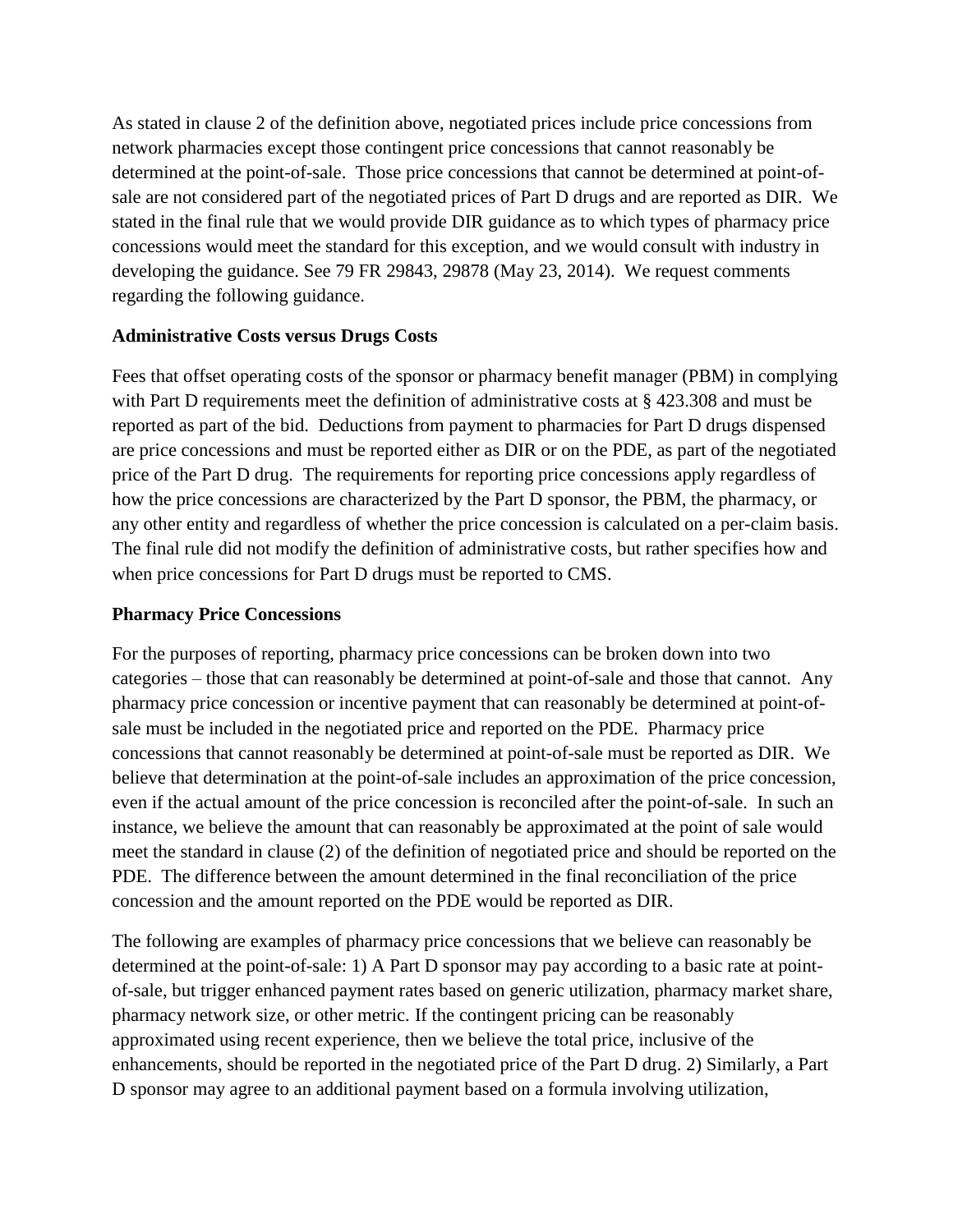As stated in clause 2 of the definition above, negotiated prices include price concessions from network pharmacies except those contingent price concessions that cannot reasonably be determined at the point-of-sale. Those price concessions that cannot be determined at point-ofsale are not considered part of the negotiated prices of Part D drugs and are reported as DIR. We stated in the final rule that we would provide DIR guidance as to which types of pharmacy price concessions would meet the standard for this exception, and we would consult with industry in developing the guidance. See 79 FR 29843, 29878 (May 23, 2014). We request comments regarding the following guidance.

## **Administrative Costs versus Drugs Costs**

Fees that offset operating costs of the sponsor or pharmacy benefit manager (PBM) in complying with Part D requirements meet the definition of administrative costs at § 423.308 and must be reported as part of the bid. Deductions from payment to pharmacies for Part D drugs dispensed are price concessions and must be reported either as DIR or on the PDE, as part of the negotiated price of the Part D drug. The requirements for reporting price concessions apply regardless of how the price concessions are characterized by the Part D sponsor, the PBM, the pharmacy, or any other entity and regardless of whether the price concession is calculated on a per-claim basis. The final rule did not modify the definition of administrative costs, but rather specifies how and when price concessions for Part D drugs must be reported to CMS.

## **Pharmacy Price Concessions**

For the purposes of reporting, pharmacy price concessions can be broken down into two categories – those that can reasonably be determined at point-of-sale and those that cannot. Any pharmacy price concession or incentive payment that can reasonably be determined at point-ofsale must be included in the negotiated price and reported on the PDE. Pharmacy price concessions that cannot reasonably be determined at point-of-sale must be reported as DIR. We believe that determination at the point-of-sale includes an approximation of the price concession, even if the actual amount of the price concession is reconciled after the point-of-sale. In such an instance, we believe the amount that can reasonably be approximated at the point of sale would meet the standard in clause (2) of the definition of negotiated price and should be reported on the PDE. The difference between the amount determined in the final reconciliation of the price concession and the amount reported on the PDE would be reported as DIR.

The following are examples of pharmacy price concessions that we believe can reasonably be determined at the point-of-sale: 1) A Part D sponsor may pay according to a basic rate at pointof-sale, but trigger enhanced payment rates based on generic utilization, pharmacy market share, pharmacy network size, or other metric. If the contingent pricing can be reasonably approximated using recent experience, then we believe the total price, inclusive of the enhancements, should be reported in the negotiated price of the Part D drug. 2) Similarly, a Part D sponsor may agree to an additional payment based on a formula involving utilization,